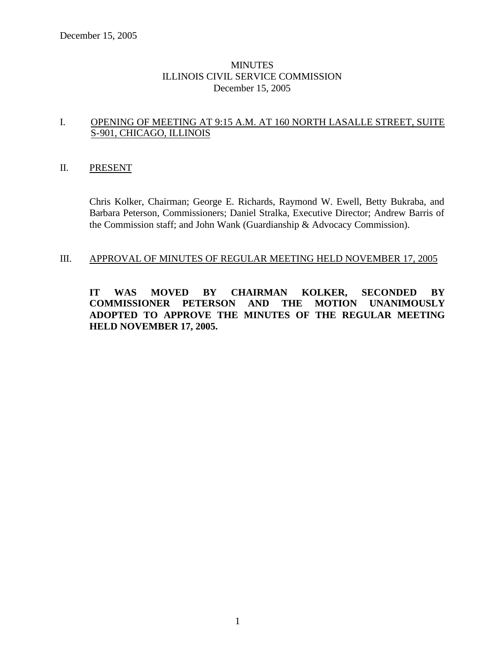# **MINUTES** ILLINOIS CIVIL SERVICE COMMISSION December 15, 2005

# I. OPENING OF MEETING AT 9:15 A.M. AT 160 NORTH LASALLE STREET, SUITE S-901, CHICAGO, ILLINOIS

### II. PRESENT

Chris Kolker, Chairman; George E. Richards, Raymond W. Ewell, Betty Bukraba, and Barbara Peterson, Commissioners; Daniel Stralka, Executive Director; Andrew Barris of the Commission staff; and John Wank (Guardianship & Advocacy Commission).

# III. APPROVAL OF MINUTES OF REGULAR MEETING HELD NOVEMBER 17, 2005

**IT WAS MOVED BY CHAIRMAN KOLKER, SECONDED BY COMMISSIONER PETERSON AND THE MOTION UNANIMOUSLY ADOPTED TO APPROVE THE MINUTES OF THE REGULAR MEETING HELD NOVEMBER 17, 2005.**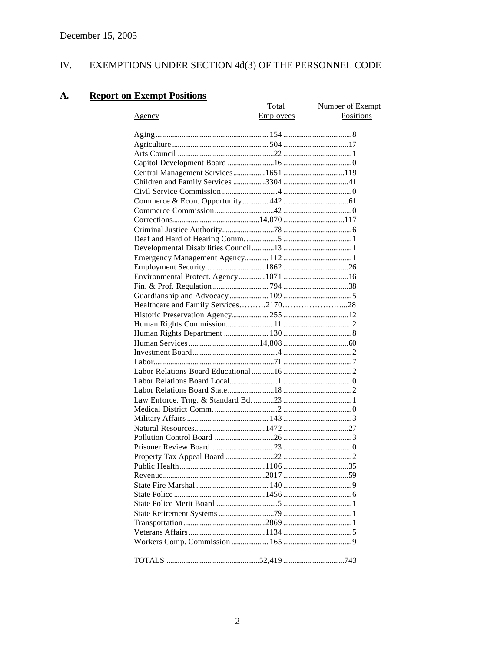### IV. **EXEMPTIONS UNDER SECTION 4d(3) OF THE PERSONNEL CODE**

#### **Report on Exempt Positions A.**

|               | Total     | Number of Exempt |
|---------------|-----------|------------------|
| <u>Agency</u> | Employees | Positions        |
|               |           |                  |
|               |           |                  |
|               |           |                  |
|               |           |                  |
|               |           |                  |
|               |           |                  |
|               |           |                  |
|               |           |                  |
|               |           |                  |
|               |           |                  |
|               |           |                  |
|               |           |                  |
|               |           |                  |
|               |           |                  |
|               |           |                  |
|               |           |                  |
|               |           |                  |
|               |           |                  |
|               |           |                  |
|               |           |                  |
|               |           |                  |
|               |           |                  |
|               |           |                  |
|               |           |                  |
|               |           |                  |
|               |           |                  |
|               |           |                  |
|               |           |                  |
|               |           |                  |
|               |           |                  |
|               |           |                  |
|               |           |                  |
|               |           |                  |
|               |           |                  |
|               |           |                  |
|               |           |                  |
|               |           |                  |
|               |           |                  |
|               |           |                  |
|               |           |                  |
|               |           |                  |
|               |           |                  |
|               |           |                  |
|               |           |                  |
|               |           |                  |
|               |           |                  |
|               |           |                  |
|               |           |                  |
|               |           |                  |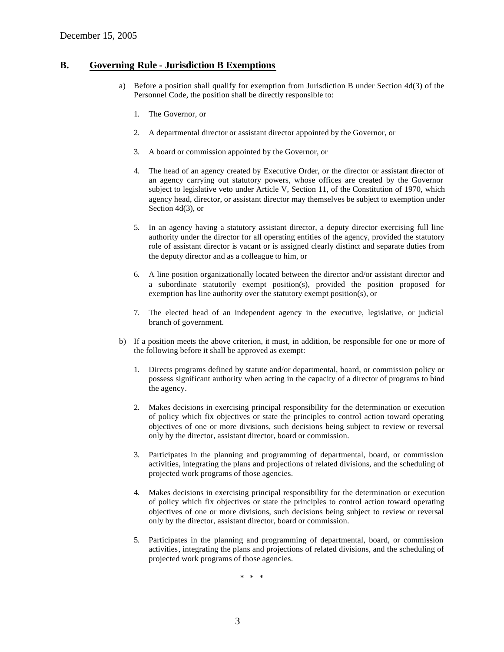### **B. Governing Rule - Jurisdiction B Exemptions**

- a) Before a position shall qualify for exemption from Jurisdiction B under Section 4d(3) of the Personnel Code, the position shall be directly responsible to:
	- 1. The Governor, or
	- 2. A departmental director or assistant director appointed by the Governor, or
	- 3. A board or commission appointed by the Governor, or
	- 4. The head of an agency created by Executive Order, or the director or assistant director of an agency carrying out statutory powers, whose offices are created by the Governor subject to legislative veto under Article V, Section 11, of the Constitution of 1970, which agency head, director, or assistant director may themselves be subject to exemption under Section 4d(3), or
	- 5. In an agency having a statutory assistant director, a deputy director exercising full line authority under the director for all operating entities of the agency, provided the statutory role of assistant director is vacant or is assigned clearly distinct and separate duties from the deputy director and as a colleague to him, or
	- 6. A line position organizationally located between the director and/or assistant director and a subordinate statutorily exempt position(s), provided the position proposed for exemption has line authority over the statutory exempt position(s), or
	- 7. The elected head of an independent agency in the executive, legislative, or judicial branch of government.
- b) If a position meets the above criterion, it must, in addition, be responsible for one or more of the following before it shall be approved as exempt:
	- 1. Directs programs defined by statute and/or departmental, board, or commission policy or possess significant authority when acting in the capacity of a director of programs to bind the agency.
	- 2. Makes decisions in exercising principal responsibility for the determination or execution of policy which fix objectives or state the principles to control action toward operating objectives of one or more divisions, such decisions being subject to review or reversal only by the director, assistant director, board or commission.
	- 3. Participates in the planning and programming of departmental, board, or commission activities, integrating the plans and projections of related divisions, and the scheduling of projected work programs of those agencies.
	- 4. Makes decisions in exercising principal responsibility for the determination or execution of policy which fix objectives or state the principles to control action toward operating objectives of one or more divisions, such decisions being subject to review or reversal only by the director, assistant director, board or commission.
	- 5. Participates in the planning and programming of departmental, board, or commission activities, integrating the plans and projections of related divisions, and the scheduling of projected work programs of those agencies.

\* \* \*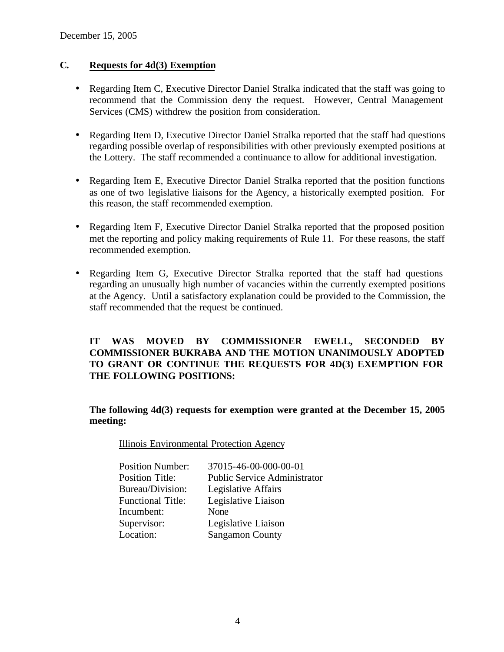# **C. Requests for 4d(3) Exemption**

- Regarding Item C, Executive Director Daniel Stralka indicated that the staff was going to recommend that the Commission deny the request. However, Central Management Services (CMS) withdrew the position from consideration.
- Regarding Item D, Executive Director Daniel Stralka reported that the staff had questions regarding possible overlap of responsibilities with other previously exempted positions at the Lottery. The staff recommended a continuance to allow for additional investigation.
- Regarding Item E, Executive Director Daniel Stralka reported that the position functions as one of two legislative liaisons for the Agency, a historically exempted position. For this reason, the staff recommended exemption.
- Regarding Item F, Executive Director Daniel Stralka reported that the proposed position met the reporting and policy making requirements of Rule 11. For these reasons, the staff recommended exemption.
- Regarding Item G, Executive Director Stralka reported that the staff had questions regarding an unusually high number of vacancies within the currently exempted positions at the Agency. Until a satisfactory explanation could be provided to the Commission, the staff recommended that the request be continued.

**IT WAS MOVED BY COMMISSIONER EWELL, SECONDED BY COMMISSIONER BUKRABA AND THE MOTION UNANIMOUSLY ADOPTED TO GRANT OR CONTINUE THE REQUESTS FOR 4D(3) EXEMPTION FOR THE FOLLOWING POSITIONS:**

**The following 4d(3) requests for exemption were granted at the December 15, 2005 meeting:**

Illinois Environmental Protection Agency

| <b>Position Number:</b>  | 37015-46-00-000-00-01               |
|--------------------------|-------------------------------------|
| <b>Position Title:</b>   | <b>Public Service Administrator</b> |
| Bureau/Division:         | Legislative Affairs                 |
| <b>Functional Title:</b> | Legislative Liaison                 |
| Incumbent:               | None                                |
| Supervisor:              | Legislative Liaison                 |
| Location:                | <b>Sangamon County</b>              |
|                          |                                     |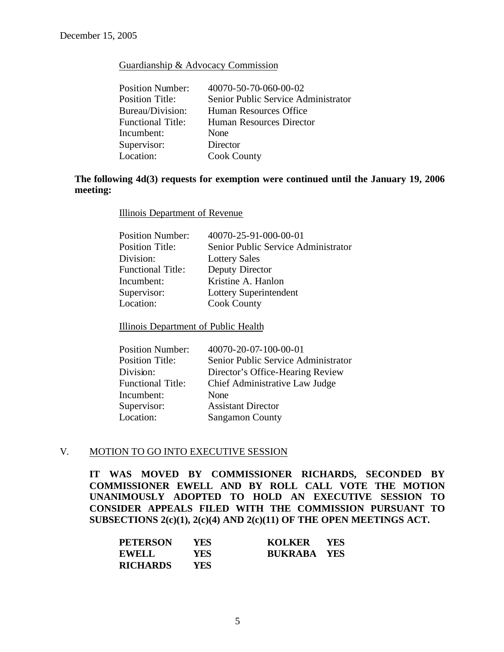### Guardianship & Advocacy Commission

| <b>Position Number:</b>  | 40070-50-70-060-00-02               |
|--------------------------|-------------------------------------|
| <b>Position Title:</b>   | Senior Public Service Administrator |
| Bureau/Division:         | Human Resources Office              |
| <b>Functional Title:</b> | Human Resources Director            |
| Incumbent:               | None                                |
| Supervisor:              | Director                            |
| Location:                | <b>Cook County</b>                  |

# **The following 4d(3) requests for exemption were continued until the January 19, 2006 meeting:**

Illinois Department of Revenue

| 40070-25-91-000-00-01               |
|-------------------------------------|
| Senior Public Service Administrator |
| <b>Lottery Sales</b>                |
| Deputy Director                     |
| Kristine A. Hanlon                  |
| Lottery Superintendent              |
| <b>Cook County</b>                  |
|                                     |

Illinois Department of Public Health

| 40070-20-07-100-00-01               |
|-------------------------------------|
| Senior Public Service Administrator |
| Director's Office-Hearing Review    |
| Chief Administrative Law Judge      |
| None                                |
| <b>Assistant Director</b>           |
| <b>Sangamon County</b>              |
|                                     |

### V. MOTION TO GO INTO EXECUTIVE SESSION

**IT WAS MOVED BY COMMISSIONER RICHARDS, SECONDED BY COMMISSIONER EWELL AND BY ROLL CALL VOTE THE MOTION UNANIMOUSLY ADOPTED TO HOLD AN EXECUTIVE SESSION TO CONSIDER APPEALS FILED WITH THE COMMISSION PURSUANT TO SUBSECTIONS 2(c)(1), 2(c)(4) AND 2(c)(11) OF THE OPEN MEETINGS ACT.** 

| <b>PETERSON</b> | YES.       | KOLKER             | - YES |
|-----------------|------------|--------------------|-------|
| <b>EWELL</b>    | <b>YES</b> | <b>BUKRABA YES</b> |       |
| <b>RICHARDS</b> | YES        |                    |       |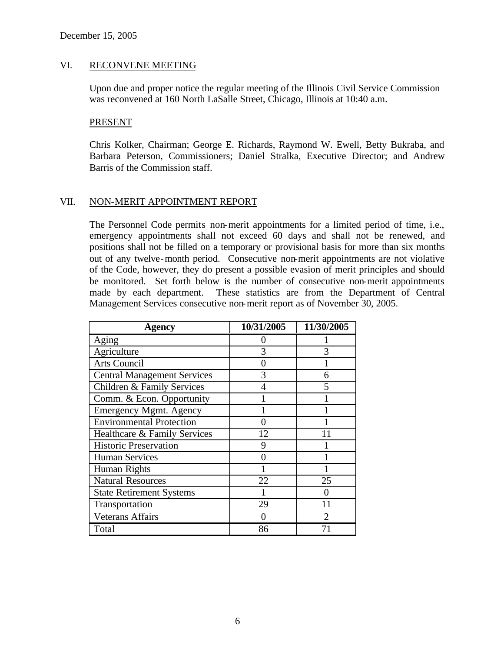### VI. RECONVENE MEETING

Upon due and proper notice the regular meeting of the Illinois Civil Service Commission was reconvened at 160 North LaSalle Street, Chicago, Illinois at 10:40 a.m.

### PRESENT

Chris Kolker, Chairman; George E. Richards, Raymond W. Ewell, Betty Bukraba, and Barbara Peterson, Commissioners; Daniel Stralka, Executive Director; and Andrew Barris of the Commission staff.

### VII. NON-MERIT APPOINTMENT REPORT

The Personnel Code permits non-merit appointments for a limited period of time, i.e., emergency appointments shall not exceed 60 days and shall not be renewed, and positions shall not be filled on a temporary or provisional basis for more than six months out of any twelve-month period. Consecutive non-merit appointments are not violative of the Code, however, they do present a possible evasion of merit principles and should be monitored. Set forth below is the number of consecutive non-merit appointments made by each department. These statistics are from the Department of Central Management Services consecutive non-merit report as of November 30, 2005.

| Agency                             | 10/31/2005 | 11/30/2005 |
|------------------------------------|------------|------------|
| Aging                              |            |            |
| Agriculture                        | 3          | 3          |
| <b>Arts Council</b>                |            |            |
| <b>Central Management Services</b> | 3          | 6          |
| Children & Family Services         | 4          | 5          |
| Comm. & Econ. Opportunity          |            |            |
| <b>Emergency Mgmt. Agency</b>      |            |            |
| <b>Environmental Protection</b>    |            |            |
| Healthcare & Family Services       | 12         |            |
| <b>Historic Preservation</b>       | 9          |            |
| <b>Human Services</b>              |            |            |
| Human Rights                       |            |            |
| <b>Natural Resources</b>           | 22         | 25         |
| <b>State Retirement Systems</b>    |            | 0          |
| Transportation                     | 29         | 11         |
| <b>Veterans Affairs</b>            |            | っ          |
| Total                              | 86         |            |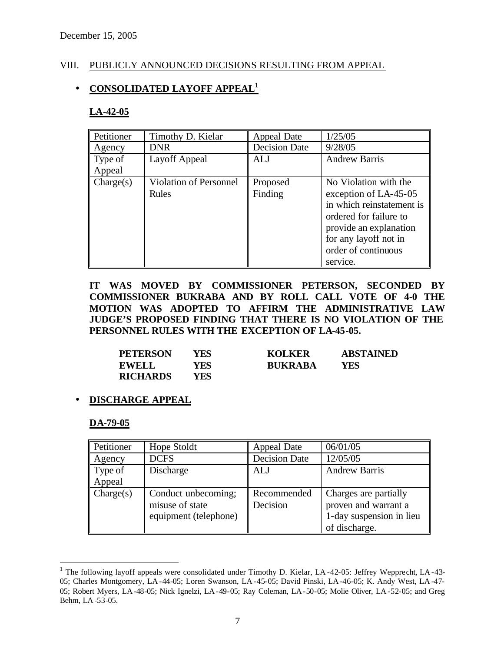## VIII. PUBLICLY ANNOUNCED DECISIONS RESULTING FROM APPEAL

# • **CONSOLIDATED LAYOFF APPEAL<sup>1</sup>**

### **LA-42-05**

| Petitioner | Timothy D. Kielar             | Appeal Date          | 1/25/05                   |
|------------|-------------------------------|----------------------|---------------------------|
| Agency     | <b>DNR</b>                    | <b>Decision Date</b> | 9/28/05                   |
| Type of    | Layoff Appeal                 | ALJ                  | <b>Andrew Barris</b>      |
| Appeal     |                               |                      |                           |
| Change(s)  | <b>Violation of Personnel</b> | Proposed             | No Violation with the     |
|            | Rules                         | Finding              | exception of LA-45-05     |
|            |                               |                      | in which reinstatement is |
|            |                               |                      | ordered for failure to    |
|            |                               |                      | provide an explanation    |
|            |                               |                      | for any layoff not in     |
|            |                               |                      | order of continuous       |
|            |                               |                      | service.                  |

**IT WAS MOVED BY COMMISSIONER PETERSON, SECONDED BY COMMISSIONER BUKRABA AND BY ROLL CALL VOTE OF 4-0 THE MOTION WAS ADOPTED TO AFFIRM THE ADMINISTRATIVE LAW JUDGE'S PROPOSED FINDING THAT THERE IS NO VIOLATION OF THE PERSONNEL RULES WITH THE EXCEPTION OF LA-45-05.**

| <b>PETERSON</b> | YFS.  | <b>KOLKER</b>  | <b>ABSTAINED</b> |
|-----------------|-------|----------------|------------------|
| <b>EWELL</b>    | YES . | <b>BUKRABA</b> | YES              |
| <b>RICHARDS</b> | YES . |                |                  |

# • **DISCHARGE APPEAL**

### **DA-79-05**

 $\overline{a}$ 

| Petitioner                       | Hope Stoldt           | Appeal Date          | 06/01/05                 |
|----------------------------------|-----------------------|----------------------|--------------------------|
| Agency                           | <b>DCFS</b>           | <b>Decision Date</b> | 12/05/05                 |
| $\parallel$ Type of              | Discharge             | <b>ALJ</b>           | <b>Andrew Barris</b>     |
| Appeal                           |                       |                      |                          |
| $\mathbf{\mathcal{C}}$ Charge(s) | Conduct unbecoming;   | Recommended          | Charges are partially    |
|                                  | misuse of state       | Decision             | proven and warrant a     |
|                                  | equipment (telephone) |                      | 1-day suspension in lieu |
|                                  |                       |                      | of discharge.            |

<sup>&</sup>lt;sup>1</sup> The following layoff appeals were consolidated under Timothy D. Kielar, LA-42-05: Jeffrey Wepprecht, LA-43-05; Charles Montgomery, LA -44-05; Loren Swanson, LA -45-05; David Pinski, LA -46-05; K. Andy West, LA -47- 05; Robert Myers, LA -48-05; Nick Ignelzi, LA -49-05; Ray Coleman, LA-50-05; Molie Oliver, LA-52-05; and Greg Behm, LA-53-05.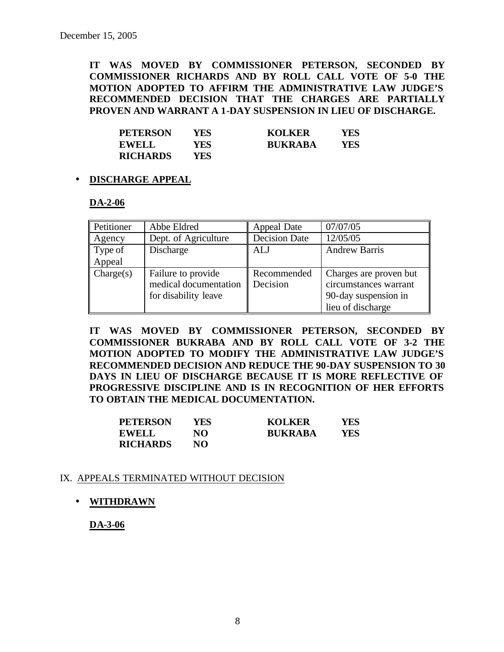**IT WAS MOVED BY COMMISSIONER PETERSON, SECONDED BY COMMISSIONER RICHARDS AND BY ROLL CALL VOTE OF 5-0 THE MOTION ADOPTED TO AFFIRM THE ADMINISTRATIVE LAW JUDGE'S RECOMMENDED DECISION THAT THE CHARGES ARE PARTIALLY PROVEN AND WARRANT A 1-DAY SUSPENSION IN LIEU OF DISCHARGE.**

| <b>PETERSON</b> | YES . | <b>KOLKER</b>  | YES |
|-----------------|-------|----------------|-----|
| <b>EWELL</b>    | YES.  | <b>BUKRABA</b> | YFS |
| <b>RICHARDS</b> | YES . |                |     |

# • **DISCHARGE APPEAL**

### **DA-2-06**

| Petitioner | Abbe Eldred           | Appeal Date          | 07/07/05               |
|------------|-----------------------|----------------------|------------------------|
| Agency     | Dept. of Agriculture  | <b>Decision Date</b> | 12/05/05               |
| Type of    | Discharge             | ALJ                  | <b>Andrew Barris</b>   |
| Appeal     |                       |                      |                        |
| Change(s)  | Failure to provide    | Recommended          | Charges are proven but |
|            | medical documentation | Decision             | circumstances warrant  |
|            | for disability leave  |                      | 90-day suspension in   |
|            |                       |                      | lieu of discharge      |

**IT WAS MOVED BY COMMISSIONER PETERSON, SECONDED BY COMMISSIONER BUKRABA AND BY ROLL CALL VOTE OF 3-2 THE MOTION ADOPTED TO MODIFY THE ADMINISTRATIVE LAW JUDGE'S RECOMMENDED DECISION AND REDUCE THE 90-DAY SUSPENSION TO 30 DAYS IN LIEU OF DISCHARGE BECAUSE IT IS MORE REFLECTIVE OF PROGRESSIVE DISCIPLINE AND IS IN RECOGNITION OF HER EFFORTS TO OBTAIN THE MEDICAL DOCUMENTATION.**

| <b>PETERSON</b> | YES | <b>KOLKER</b>  | YES |
|-----------------|-----|----------------|-----|
| <b>EWELL</b>    | NO  | <b>BUKRABA</b> | YES |
| <b>RICHARDS</b> | NO. |                |     |

### IX. APPEALS TERMINATED WITHOUT DECISION

• **WITHDRAWN**

**DA-3-06**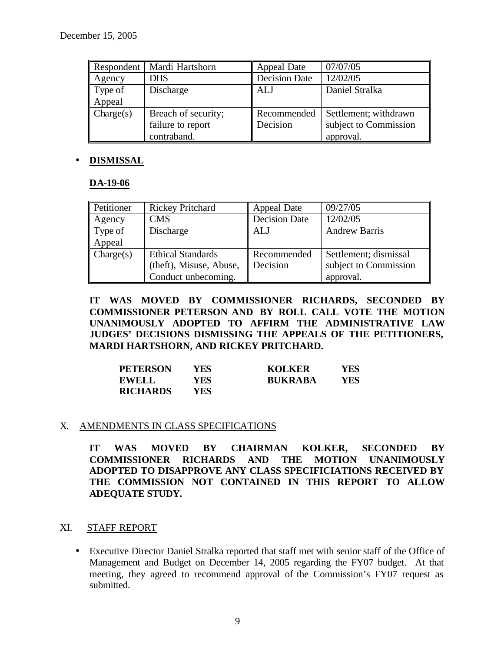| Respondent             | Mardi Hartshorn     | Appeal Date          | 07/07/05              |
|------------------------|---------------------|----------------------|-----------------------|
| Agency                 | <b>DHS</b>          | <b>Decision Date</b> | 12/02/05              |
| Type of                | Discharge           | <b>ALJ</b>           | Daniel Stralka        |
| Appeal                 |                     |                      |                       |
| $\mathbf{C}$ Charge(s) | Breach of security; | Recommended          | Settlement; withdrawn |
|                        | failure to report   | Decision             | subject to Commission |
|                        | contraband.         |                      | approval.             |

# • **DISMISSAL**

### **DA-19-06**

| Petitioner         | <b>Rickey Pritchard</b>  | Appeal Date          | 09/27/05              |
|--------------------|--------------------------|----------------------|-----------------------|
| Agency             | CMS                      | <b>Decision Date</b> | 12/02/05              |
| Type of            | Discharge                | ALJ                  | <b>Andrew Barris</b>  |
| Appeal             |                          |                      |                       |
| $\text{Change}(s)$ | <b>Ethical Standards</b> | Recommended          | Settlement; dismissal |
|                    | (theft), Misuse, Abuse,  | Decision             | subject to Commission |
|                    | Conduct unbecoming.      |                      | approval.             |

**IT WAS MOVED BY COMMISSIONER RICHARDS, SECONDED BY COMMISSIONER PETERSON AND BY ROLL CALL VOTE THE MOTION UNANIMOUSLY ADOPTED TO AFFIRM THE ADMINISTRATIVE LAW JUDGES' DECISIONS DISMISSING THE APPEALS OF THE PETITIONERS, MARDI HARTSHORN, AND RICKEY PRITCHARD.**

| <b>PETERSON</b> | YFS. | <b>KOLKER</b>  | YFS. |
|-----------------|------|----------------|------|
| <b>EWELL</b>    | YES. | <b>BUKRABA</b> | YFS. |
| <b>RICHARDS</b> | YES- |                |      |

### X. AMENDMENTS IN CLASS SPECIFICATIONS

**IT WAS MOVED BY CHAIRMAN KOLKER, SECONDED BY COMMISSIONER RICHARDS AND THE MOTION UNANIMOUSLY ADOPTED TO DISAPPROVE ANY CLASS SPECIFICIATIONS RECEIVED BY THE COMMISSION NOT CONTAINED IN THIS REPORT TO ALLOW ADEQUATE STUDY.**

### XI. STAFF REPORT

• Executive Director Daniel Stralka reported that staff met with senior staff of the Office of Management and Budget on December 14, 2005 regarding the FY07 budget. At that meeting, they agreed to recommend approval of the Commission's FY07 request as submitted.